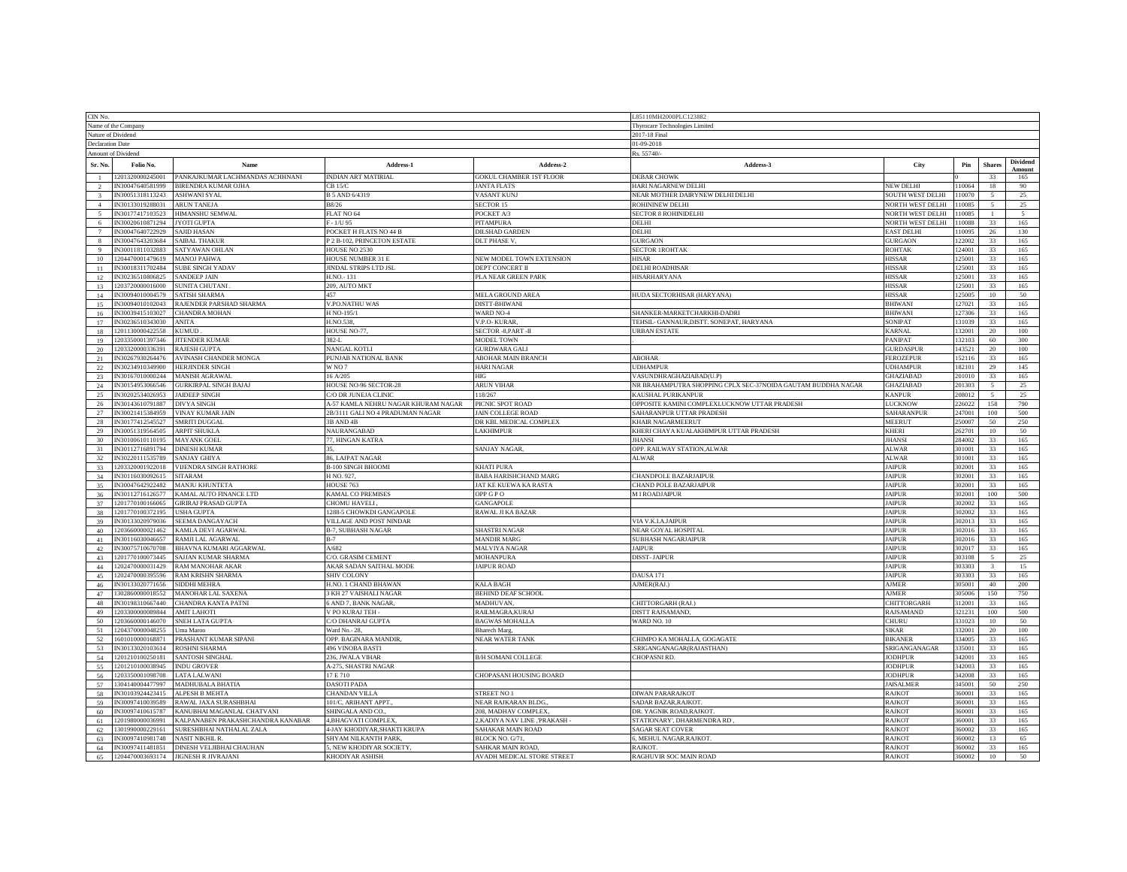| CIN No                  |                                      |                                                               |                                     |                                                      | .85110MH2000PLC123882                                        |                              |              |                  |                           |  |
|-------------------------|--------------------------------------|---------------------------------------------------------------|-------------------------------------|------------------------------------------------------|--------------------------------------------------------------|------------------------------|--------------|------------------|---------------------------|--|
|                         | Name of the Company                  |                                                               |                                     | Thyrocare Technologies Limited                       |                                                              |                              |              |                  |                           |  |
| Nature of Dividend      |                                      |                                                               |                                     | 2017-18 Final                                        |                                                              |                              |              |                  |                           |  |
| <b>Declaration Date</b> |                                      |                                                               |                                     | 01-09-2018                                           |                                                              |                              |              |                  |                           |  |
|                         | Amount of Dividend                   |                                                               |                                     |                                                      | es. 55740/                                                   |                              |              |                  |                           |  |
| Sr. No                  | Folio No.                            | Name                                                          | Address-1                           | Address-2                                            | Address-3                                                    | City                         | Pin          | Share            | <b>Dividend</b><br>Amount |  |
|                         | 1201320000245001<br>IN30047640581999 | PANKAJKUMAR LACHMANDAS ACHHNANI<br><b>BIRENDRA KUMAR OJHA</b> | INDIAN ART MATIRIAL<br>$CB$ 15/ $C$ | <b>GOKUL CHAMBER 1ST FLOOR</b><br><b>JANTA FLATS</b> | <b>DEBAR CHOWK</b><br>HARI NAGARNEW DELHI                    | <b>NEW DELHI</b>             | 110064       | 33<br>18         | 165<br>90                 |  |
|                         | IN30051318113243                     | ASHWANI SYAL                                                  | B 5 AND 6/4319                      | <b>ASANT KUNJ</b>                                    | NEAR MOTHER DAIRYNEW DELHI DELHI                             | <b>SOUTH WEST DELHI</b>      | 110070       |                  | 25                        |  |
| $\overline{4}$          | IN30133019288031                     | <b>ARUN TANEJA</b>                                            | B8/26                               | <b>SECTOR 15</b>                                     | ROHININEW DELHI                                              | <b>NORTH WEST DELHI</b>      | 110085       | $\leq$           | 25                        |  |
|                         | N30177417103523                      | <b>IIMANSHU SEMWAL</b>                                        | LAT NO 64                           | <b>POCKET A/3</b>                                    | <b>SECTOR 8 ROHINIDELHI</b>                                  | <b>VORTH WEST DELHI</b>      | 10085        |                  |                           |  |
| -6                      | 930020610871294                      | YOTI GUPTA                                                    | $-1/1195$                           | <b>ITAMPURA</b>                                      | ELHI                                                         | <b>NORTH WEST DELHI</b>      | 10088        | 33               | 165                       |  |
| $\tau$                  | N30047640722929                      | <b>SAJID HASAN</b>                                            | POCKET H FLATS NO 44 B              | <b>DILSHAD GARDEN</b>                                | DELHI                                                        | <b>EAST DELHI</b>            | 10095        | 26               | 130                       |  |
| 8                       | N30047643203684                      | <b>SAIBAL THAKUI</b>                                          | P 2 B-102, PRINCETON ESTATE         | <b>DLT PHASE V.</b>                                  | <b>GAON</b>                                                  | <b>GURGAON</b>               | 22002        | 33               | 165                       |  |
| Q                       | N30011811032883                      | <b>SATYAWAN OHLAN</b>                                         | HOUSE NO 2530                       |                                                      | <b>SECTOR IROHTAK</b>                                        | ROHTAK                       | 124001       | 33               | 165                       |  |
| 10                      | 1204470001479619                     | <b>MANOJ PAHWA</b>                                            | HOUSE NUMBER 31 E                   | <b>NEW MODEL TOWN EXTENSION</b>                      | HISAR                                                        | HISSAR                       | 125001       | 33               | 165                       |  |
|                         | IN30018311702484                     | <b>SUBE SINGH YADAV</b>                                       | JINDAL STRIPS LTD JSL               | DEPT CONCERT II                                      | DELHI ROADHISAR                                              | HISSAR                       | 125001       | 33               | 165                       |  |
| 12                      | N30236510806825                      | <b>SANDEEP JAIN</b>                                           | H NO - 131                          | PLA NEAR GREEN PARK                                  | <b>IISARHARYANA</b>                                          | HISSAR                       | 125001       | 33               | 165                       |  |
| 13                      | 203720000016000                      | <b>SUNITA CHUTANI</b>                                         | 209, AUTO MKT                       |                                                      |                                                              | <b>HISSAR</b>                | 2500         | 33               | 165                       |  |
| 14                      | N30094010004579                      | SATISH SHARMA                                                 |                                     | <b>MELA GROUND AREA</b>                              | IUDA SECTORHISAR (HARYANA)                                   | <b>HISSAR</b>                | 25005        | 10 <sup>°</sup>  | 50                        |  |
| 15                      | N30094010102043                      | RAJENDER PARSHAD SHARMA                                       | V.PO.NATHU WAS                      | <b>DISTT-BHIWANI</b>                                 |                                                              | <b>BHIWAN</b>                | 27021        | 33               | 165                       |  |
| 16                      | IN30039415103027                     | <b>CHANDRA MOHAN</b>                                          | H NO-195/1                          | WARD NO-4                                            | SHANKER-MARKETCHARKHI-DADRI                                  | <b>BHIWANI</b>               | 127306       | 33               | 165                       |  |
| 17                      | IN30236510343030                     | ANITA                                                         | H.NO.538,                           | /.P.O-KURAR                                          | TEHSIL- GANNAUR, DISTT. SONEPAT, HARYANA                     | SONIPAT                      | 131039       | 33               | 165                       |  |
| 18                      | 201130000422558                      | <b>CUMUD</b>                                                  | HOUSE NO-77.                        | <b>SECTOR -8, PART -II</b>                           | <b>RBAN ESTATE</b>                                           | KARNAL                       | 32001        | 20               | 100                       |  |
| 19                      | 203350001397346                      | <b>ITENDER KUMAR</b>                                          | $82-L$                              | <b>IODEL TOWN</b>                                    |                                                              | <b>ANIPAT</b>                | 32103        | 60               | 300                       |  |
| 20                      | 1203320000336391                     | <b>RAJESH GUPTA</b>                                           | NANGAL KOTLI                        | <b>JURDWARA GALI</b>                                 |                                                              | GURDASPUR                    | 43521        | 20               | 100                       |  |
| 21                      | 930267930264476                      | <b>VINASH CHANDER MONGA</b>                                   | PUNJAB NATIONAL BANK                | <b>ABOHAR MAIN BRANCH</b>                            | <b>ABOHAR</b>                                                | FEROZEPUR                    | 52116        | 33               | 165                       |  |
| 22                      | N30234910349900                      | HERJINDER SINGH                                               | W NO 7                              | HARI NAGAR                                           | <b>JDHAMPUR</b>                                              | UDHAMPUR                     | 182101       | 29               | 145                       |  |
| 23                      | N30167010000244                      | <b>MANISH AGRAWAL</b>                                         | 16 A/205                            | HIG                                                  | VASUNDHRAGHAZIABAD(U.P)                                      | GHAZIABAD                    | 201010       | 33               | 165                       |  |
| 24                      | N30154953066546                      | <b>GURKIRPAL SINGH BAJAJ</b>                                  | HOUSE NO-96 SECTOR-28               | ARUN VIHAR                                           | NR BRAHAMPUTRA SHOPPING CPLX SEC-37NOIDA GAUTAM BUDDHA NAGAR | GHAZIABAD                    | 201303       | $\sim$           | 25                        |  |
| 25                      | N30202534026953                      | <b>JAIDEEP SINGH</b>                                          | C/O DR JUNEJA CLINIC                | 18/267                                               | KAUSHAL PURIKANPUR                                           | <b>KANPUR</b>                | 208012       |                  | 25                        |  |
| 26                      | N30143610791882                      | <b>DIVYA SINGH</b>                                            | A-57 KAMLA NEHRU NAGAR KHURAM NAGAR | PICNIC SPOT ROAD                                     | OPPOSITE KAMINI COMPLEXLUCKNOW UTTAR PRADESH                 | <b>LUCKNOW</b>               | 22602        | 158              | 790                       |  |
| 27                      | N30021415384959                      | <b>VINAY KUMAR JAIN</b>                                       | 2B/3111 GALI NO 4 PRADUMAN NAGAR    | <b>AIN COLLEGE ROAD</b>                              | SAHARANPUR UTTAR PRADESH                                     | SAHARANPUR                   | 24700        | 100              | 500                       |  |
| 28                      | N30177412545527                      | SMRITI DUGGAL                                                 | 3B AND 4B                           | OR KBL MEDICAL COMPLEX                               | KHAIR NAGARMEERUT                                            | MEERUT                       | 25000        | 50               | 250                       |  |
| 29                      | N30051319564505                      | <b>ARPIT SHUKLA</b>                                           | NAURANGARAD                         | <b>AKHIMPUR</b>                                      | KHERI CHAYA KUALAKHIMPUR UTTAR PRADESH                       | KHERI                        | 26270        | 10 <sup>10</sup> | 50                        |  |
| 30                      | IN30100610110195                     | <b>MAYANK GOEL</b>                                            | 7, HINGAN KATRA                     |                                                      | JHANSI                                                       | <b>JHANSI</b>                | 284002       | 33               | 165                       |  |
| 31                      | N30112716891794                      | <b>DINESH KUMAR</b>                                           |                                     | <b>SANJAY NAGAR</b>                                  | OPP. RAILWAY STATION, ALWAR                                  | <b>ALWAR</b>                 | 01001        | 33               | 165                       |  |
| 32                      | V30220111535789                      | <b>ANJAY GHIYA</b>                                            | 6, LAJPAT NAGAR                     |                                                      | ALWAR                                                        | <b>ALWAR</b>                 | 0100         | 33               | 165                       |  |
| 33                      | 203320001922018                      | VIJENDRA SINGH RATHORE                                        | <b>B-100 SINGH BHOOMI</b>           | <b>KHATI PURA</b>                                    |                                                              | <b>AIPUR</b>                 | 02001        | 33               | 165                       |  |
| 34                      | N30116030092615                      | <b>SITAR AM</b>                                               | <b>INO 927</b>                      | <b>BABA HARISHCHAND MARG</b>                         | CHANDPOLE BAZARJAIPUR                                        | <b>AIPUR</b>                 | 02001        | 33               | 165                       |  |
| 35                      | N30047642922482                      | MANJU KHUNTETA                                                | <b>IOUSE 763</b>                    | AT KE KUEWA KA RASTA                                 | <b>CHAND POLE BAZARJAIPUR</b>                                | AIPUR                        | 02001        | 33               | 165                       |  |
| 36                      | IN30112716126577                     | KAMAL AUTO FINANCE LTD                                        | KAMAL CO PREMISES                   | OPP G P O                                            | M I ROADJAIPUR                                               | <b>AIPUR</b>                 | 02001        | 100              | 500                       |  |
| 37                      | 1201770100166065                     | <b>GIRIRAJ PRASAD GUPTA</b>                                   | CHOMU HAVELI,                       | <b>GANGAPOLE</b>                                     |                                                              | <b>AIPUR</b>                 | 02002        | 33               | 165                       |  |
| 38                      | 1201770100372195                     | <b>USHA GUPTA</b>                                             | 1288-5 CHOWKDI GANGAPOLE            | RAWAL JI KA BAZAR                                    |                                                              | <b>JAIPUR</b>                | 02002        | 33               | 165                       |  |
| 39<br>40 <sup>2</sup>   | N30133020979036<br>203660000021462   | SEEMA DANGAYACH                                               | VILLAGE AND POST NINDAR             |                                                      | VIA V.K.I.A.JAIPUR                                           | <b>AIPUR</b><br><b>AIPUR</b> | 0201<br>0201 | 33<br>33         | 165<br>165                |  |
|                         |                                      | KAMLA DEVI AGARWAI                                            | <b>B-7, SUBHASH NAGAR</b>           | <b>SHASTRI NAGAR</b>                                 | <b>NEAR GOYAL HOSPITAL</b>                                   | <b>AIPUR</b>                 | 02016        | 33               |                           |  |
| 41                      | V30116030046657<br>93007571067070    | RAMJI LAL AGARWAL                                             | A/682                               | <b>MANDIR MARG</b>                                   | SUBHASH NAGARJAIPUR<br><b>AIPUR</b>                          | <b>AIPUR</b>                 | 0201'        | $\overline{33}$  | 165<br>165                |  |
| 42<br>43                | 1201770100073445                     | BHAVNA KUMARI AGGARWAL<br>SAJJAN KUMAR SHARMA                 | C/O. GRASIM CEMENT                  | MALVIYA NAGAR<br>MOHANPURA                           |                                                              | <b>JAIPUR</b>                | 303108       | $\sim$           | 25                        |  |
| 44                      | 1202470000031429                     | RAM MANOHAR AKAR                                              | AKAR SADAN SAITHAL MODE             | <b>AIPUR ROAD</b>                                    | <b>DISST-JAIPUR</b>                                          | <b>JAIPUR</b>                | 03303        |                  | 15                        |  |
| 45                      | 202470000395596                      | <b>RAM KRISHN SHARMA</b>                                      | <b>SHIV COLONY</b>                  |                                                      | <b>DAUSA 171</b>                                             | <b>AIPUR</b>                 | 03303        | 33               | 165                       |  |
| $46\,$                  | V30133020771656                      | <b>IDDHI MEHRA</b>                                            | I.NO. 1 CHAND BHAWAN                | ALA BAGH                                             | AJMER(RAJ.)                                                  | <b>NMER</b>                  | 05001        | 40               | 200                       |  |
| 47                      | 302860000018552                      | <b>MANOHAR LAL SAXENA</b>                                     | KH 27 VAISHALI NAGAR                | BEHIND DEAF SCHOOL                                   |                                                              | <b>AJMER</b>                 | 05006        | 150              | 750                       |  |
| 48                      | N30198310667440                      | CHANDRA KANTA PATNI                                           | 5 AND 7, BANK NAGAR,                | <b>MADHUVAN,</b>                                     | CHITTORGARH (RAJ.)                                           | CHITTORGARH                  | 12001        | 33               | 165                       |  |
| 49                      | 203300000089844                      | AMIT LAHOTI                                                   | V PO KURAJ TEH-                     | <b>RAILMAGRA,KURAJ</b>                               | DISTT RAJSAMAND,                                             | RAJSAMAND                    | 321231       | 100              | 500                       |  |
| 50                      | 203660000146070                      | SNEH LATA GUPTA                                               | C/O DHANRAJ GUPTA                   | <b>BAGWAS MOHALLA</b>                                | WARD NO. 10                                                  | CHURL                        | 331023       | 10               | 50                        |  |
| 51                      | 204370000048255                      | Uma Maroo                                                     | Ward No.- 28,                       | <b>Bharech Marg</b>                                  |                                                              | <b>SIKAR</b>                 | 332001       | 20               | 100                       |  |
| 52                      | 60101000016887                       | PRASHANT KUMAR SIPANI                                         | OPP. BAGINARA MANDIR                | <b>NEAR WATER TANK</b>                               | CHIMPO KA MOHALLA, GOGAGATE                                  | BIKANEF                      | 334005       | 33               | 165                       |  |
| 53                      | N30133020103614                      | ROSHNI SHARMA                                                 | 496 VINOBA BASTI                    |                                                      | SRIGANGANAGAR(RAJASTHAN)                                     | SRIGANGANAGAR                | 3500         | 33               | 165                       |  |
| 54                      | 201210100250181                      | <b>SANTOSH SINGHAL</b>                                        | 236, JWALA VIHAR                    | 3/H SOMANI COLLEGE                                   | <b>CHOPASNI RD.</b>                                          | <b>JODHPUR</b>               | 34200        | 33               | 165                       |  |
| 55                      | 201210100038945                      | <b>INDU GROVER</b>                                            | A-275, SHASTRI NAGAR                |                                                      |                                                              | <b>JODHPUR</b>               | 34200        | 33               | 165                       |  |
| 56                      | 203350001098708                      | LATA LALWANI                                                  | 17E710                              | CHOPASANI HOUSING BOARD                              |                                                              | JODHPUR                      | 342008       | 33               | 165                       |  |
| 57                      | 304140004477997                      | <b>MADHUBALA BHATIA</b>                                       | DASOTI PADA                         |                                                      |                                                              | <b>JAISALMER</b>             | 34500        | 50               | 250                       |  |
| 58                      | N30103924423415                      | <b>ALPESH B MEHTA</b>                                         | <b>HANDAN VILLA</b>                 | <b>STREET NO 1</b>                                   | <b>DIWAN PARARAJKOT</b>                                      | RAJKOT                       | 60001        | 33               | 165                       |  |
| 59                      | 930097410039589                      | AWAL JAXA SURASHBHAI                                          | 101/C, ARIHANT APPT.                | <b>JEAR RAJKARAN BLDG.</b>                           | <b>ADAR BAZAR, RAJKOT</b>                                    | <b>AJKOT</b>                 | 60001        | 33               | 165                       |  |
| 60                      | V30097410615787                      | ANUBHAI MAGANLAL CHATVANI                                     | SHINGALA AND CO.                    | 08, MADHAV COMPLEX                                   | <b>DR. YAGNIK ROAD,RAJKOT</b>                                | <b>AJKOT</b>                 | 60001        | 33               | 165                       |  |
| 61                      | 1201980000036991                     | KALPANABEN PRAKASHCHANDRA KANABAR                             | 4.BHAGVATI COMPLEX                  | , KADIYA NAV LINE , PRAKASH                          | STATIONARY', DHARMENDRA RD,                                  | <b>AJKOT</b>                 | 60001        | 33               | 165                       |  |
| 62.                     | 301990000229161                      | SURESHBHAI NATHALAL ZALA                                      | 4-JAY KHODIYAR, SHAKTI KRUPA        | SAHAKAR MAIN ROAD                                    | SAGAR SEAT COVER                                             | <b>AJKOT</b>                 | GOOO'        | 33               | 165                       |  |
| 63                      | IN30097410981748                     | <b>NASIT NIKHIL R.</b>                                        | SHYAM NILKANTH PARK,                | BLOCK NO. G/71,                                      | 5, MEHUL NAGAR, RAJKOT.                                      | RAJKOT                       | 60002        | 13               | 65                        |  |
| 64                      | IN30097411481851                     | DINESH VELJIBHAI CHAUHAN                                      | 5, NEW KHODIYAR SOCIETY.            | <b>SAHKAR MAIN ROAD.</b>                             | RAJKOT.                                                      | RAJKOT                       | 60002        | 33               | 165                       |  |
| 65                      |                                      | 1204470003693174 JIGNESH R JIVRAJANI                          | KHODIYAR ASHISH                     | <b>AVADH MEDICAL STORE STREET</b>                    | RAGHUVIR SOC MAIN ROAD                                       | RAIKOT                       | 60002        | 10 <sup>10</sup> | 50                        |  |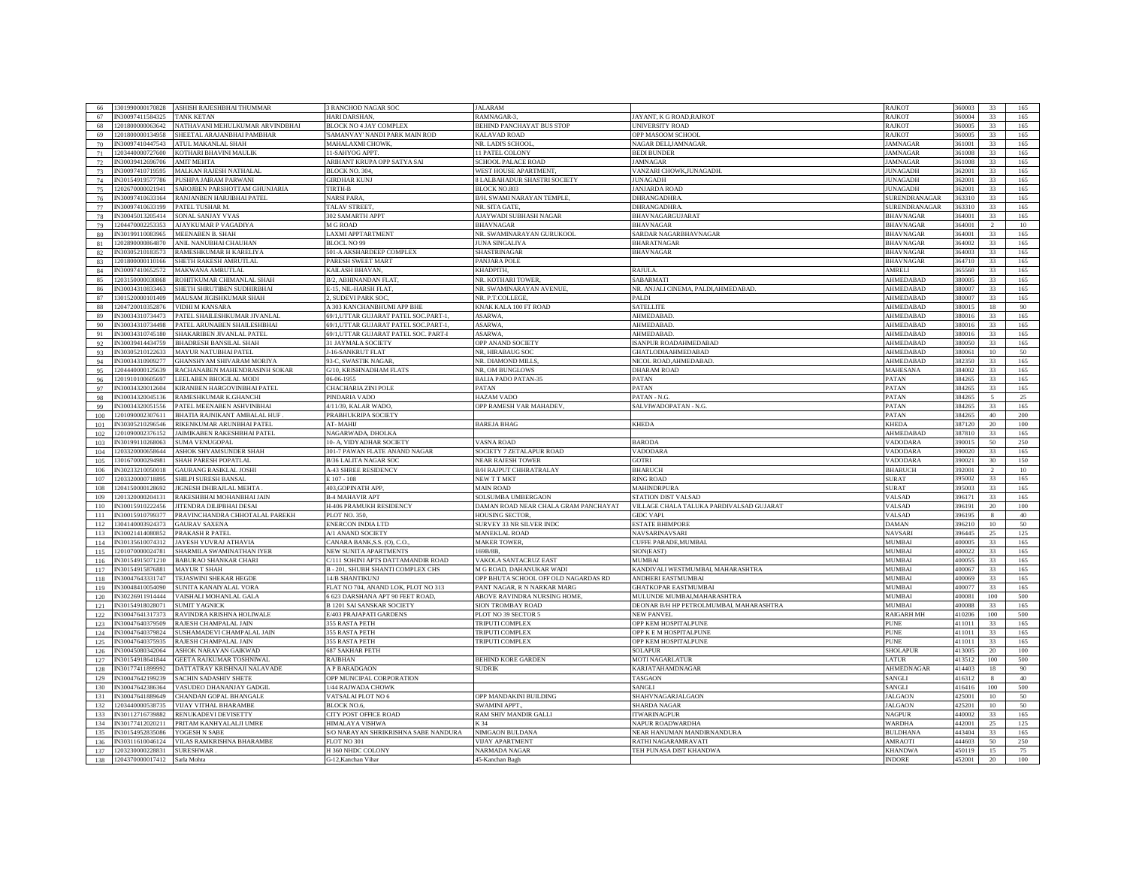| 66         |                              | 1301990000170828 ASHISH RAJESHBHAI THUMMAR | 3 RANCHOD NAGAR SOC                       | <b>ALARAM</b>                        |                                          | RAJKOT               | 360003  | 33              | 165 |
|------------|------------------------------|--------------------------------------------|-------------------------------------------|--------------------------------------|------------------------------------------|----------------------|---------|-----------------|-----|
| 67         | IN30097411584325             | <b>TANK KETAN</b>                          | <b>HARI DARSHAN</b>                       | RAMNAGAR-3                           | JAYANT, K G ROAD, RAJKOT                 | RAJKOT               | 360004  | 33              | 165 |
|            |                              |                                            |                                           |                                      |                                          |                      |         |                 |     |
| 68         | 1201800000063642             | NATHAVANI MEHULKUMAR ARVINDBHAI            | BLOCK NO 4 JAY COMPLEX                    | BEHIND PANCHAYAT BUS STOP            | UNIVERSITY ROAD                          | RAJKOT               | 360005  | 33              | 165 |
| 69         | 1201800000134958             | SHEETAL ARAJANBHAI PAMBHAR                 | SAMANVAY' NANDI PARK MAIN ROD             | <b>KALAVAD ROAD</b>                  | OPP MASOOM SCHOOL                        | RAJKOT               | 60005   | 33              | 165 |
| 70         | IN30097410447543             | ATUL MAKANLAL SHAH                         | <b>MAHALAXMI CHOWK</b>                    | NR. LADI'S SCHOOL                    | NAGAR DELIJAMNAGAR                       | <b>JAMNAGAR</b>      | 61001   | 33              | 165 |
| 71         | 203440000727600              | <b>COTHARI BHAVINI MAULIK</b>              | <b>I-SAHYOG APPT</b>                      | <b>LEPATEL COLONY</b>                | <b>BEDI BUNDER</b>                       | <b>AMNAGAR</b>       | 61008   | 33              | 165 |
| 72         | 930039412696706              | <b>AMIT MEHTA</b>                          | ARIHANT KRUPA OPP SATYA SAI               | CHOOL PALACE ROAD                    | <b>AMNAGAR</b>                           | AMNAGAR              | 61008   | 33              | 165 |
| 73         | N30097410719595              | MALKAN RAJESH NATHALAL                     | <b>BLOCK NO. 304.</b>                     | <b>WEST HOUSE APARTMENT</b>          | VANZARI CHOWK, JUNAGADH.                 | <b>UNAGADH</b>       | 62001   | 33              | 165 |
| 74         | IN30154919577786             | <b>USHPA JAIRAM PARWANI</b>                | <b>GIRDHAR KUNJ</b>                       | <b>LALBAHADUR SHASTRI SOCIETY</b>    | <b>JUNAGADH</b>                          | <b>UNAGADH</b>       | 62001   | 33              | 165 |
| 75         | 202670000021941              | SAROJBEN PARSHOTTAM GHUNJARIA              | <b>TIRTH-B</b>                            | <b>BLOCK NO.803</b>                  | <b>JANJARDA ROAD</b>                     | <b>UNAGADH</b>       | 62001   | 33              | 165 |
| 76         | IN30097410633164             | RANJANBEN HARJIBHAI PATEL                  | NARSI PARA.                               | 3/H. SWAMI NARAYAN TEMPLE.           | DHRANGADHRA.                             | SURENDRANAGAR        | 63310   | 33              | 165 |
| 77         | N30097410633199              | PATEL TUSHAR M.                            | <b>TALAV STREET</b>                       | <b>NR. SITA GATE.</b>                | DHRANGADHRA                              | SURENDRANAGAR        | 63310   | 33              | 165 |
| 78         | N30045013205414              | SONAL SANJAY VYAS                          | 302 SAMARTH APPT                          | AJAYWADI SUBHASH NAGAR               | <b>BHAVNAGARGUJARAT</b>                  | <b>BHAVNAGAR</b>     | 64001   | 33              | 165 |
|            | 1204470002253353             |                                            | <b>M G ROAD</b>                           | <b>BHAVNAGAR</b>                     |                                          | <b>BHAVNAGAE</b>     | 6400    | $\overline{2}$  |     |
| 79         |                              | AJAYKUMAR P VAGADIYA                       |                                           |                                      | <b>BHAVNAGAR</b>                         |                      |         |                 | 10  |
| 80         | IN30199110083965             | MEENABEN B. SHAH                           | LAXMI APPTARTMENT                         | NR. SWAMINARAYAN GURUKOOL            | SARDAR NAGARBHAVNAGAR                    | BHAVNAGAR            | 364001  | 33              | 165 |
| 81         | 1202890000864870             | ANIL NANUBHAI CHAUHAN                      | <b>BLOCL NO 99</b>                        | UNA SINGALIYA                        | <b>BHARATNAGAR</b>                       | <b>BHAVNAGAR</b>     | 64002   | 33              | 165 |
| 82         | IN30305210183573             | RAMESHKUMAR H KARELIYA                     | 501-A AKSHARDEEP COMPLEX                  | SHASTRINAGAR                         | <b>BHAVNAGAR</b>                         | <b>BHAVNAGAR</b>     | 64003   | 33              | 165 |
| 83         | 1201800000110166             | SHETH RAKESH AMRUTLAL                      | PARESH SWEET MART                         | <b>PANJARA POLE</b>                  |                                          | BHAVNAGAR            | 64710   | 33              | 165 |
| 84         | N30097410652572              | <b>MAKWANA AMRUTLAI</b>                    | <b>KAILASH BHAVAN</b>                     | <b>KHADPITH</b>                      | RAILLA                                   | AMREL.               | 6556    | 33              | 165 |
| 85         | 203150000030868              | ROHITKUMAR CHIMANLAL SHAH                  | B/2, ABHINANDAN FLAT                      | <b>NR. KOTHARI TOWER.</b>            | <b>SABARMATI</b>                         | AHMEDABAD            | \$8000* | 33              | 165 |
| 86         | N30034310833463              | SHETH SHRUTIBEN SUDHIRBHAI                 | E-15, NIL-HARSH FLAT                      | <b>NR. SWAMINARAYAN AVENUE</b>       | NR. ANJALI CINEMA, PALDI,AHMEDABAD       | AHMEDABAD            | 80007   | 33              | 165 |
| 87         | 301520000101409              | MAUSAM JIGISHKUMAR SHAH                    | 2. SUDEVI PARK SOC                        | NR. P.T.COLLEGE                      | PALDI                                    | AHMEDABAD            | 80007   | 33              | 165 |
| 88         | 1204720010352876             | <b>VIDHI M KANSARA</b>                     | A 303 KANCHANBHUMI APP BHE                | KNAK KALA 100 FT ROAD                | SATELLITE                                | AHMEDABAD            | 880015  | 18              | 90  |
| 89         | N30034310734473              | PATEL SHAILESHKUMAR JIVANLAL               | 69/1, UTTAR GUJARAT PATEL SOC. PART-1,    | <b>ASARWA</b>                        | AHMEDABAD                                | <b>HMEDABAD</b>      | 80016   | 33              | 165 |
| 90         | IN30034310734498             | PATEL ARUNABEN SHAILESHBHAI                | 69/1, UTTAR GUJARAT PATEL SOC. PART-1,    | <b>ASARWA</b>                        | <b>AHMEDABAD</b>                         | AHMEDABAD            | 380016  | 33              | 165 |
|            | IN30034310745180             |                                            | 69/1, UTTAR GUJARAT PATEL SOC. PART-I     | <b>ASARWA</b>                        | <b>AHMEDABAD</b>                         | AHMEDABAD            | 380016  | 33              | 165 |
| 91         | IN30039414434759             | SHAKARIBEN JIVANLAL PATEL                  |                                           |                                      |                                          |                      |         | 33              |     |
| 92         |                              | <b>BHADRESH BANSILAL SHAH</b>              | 31 JAYMALA SOCIETY                        | OPP ANAND SOCIETY                    | ISANPUR ROADAHMEDABAD                    | AHMEDABAD            | 880050  |                 | 165 |
| 93         | IN30305210122633             | MAYUR NATUBHAI PATEL                       | J-16-SANKRUT FLAT                         | NR, HIRABAUG SOC                     | <b>GHATLODIAAHMEDABAD</b>                | AHMEDABAD            | 80061   | 10              | 50  |
| 94         | IN30034310909277             | <b>GHANSHYAM SHIVARAM MORIYA</b>           | 93-C, SWASTIK NAGAR                       | NR. DIAMOND MILLS                    | NICOL ROAD, AHMEDABAD                    | AHMEDABAD            | 82350   | 33              | 165 |
| 95         | 204440000125639              | RACHANABEN MAHENDRASINH SOKAR              | G/10, KRISHNADHAM FLATS                   | <b>NR, OM BUNGLOWS</b>               | <b>DHARAM ROAD</b>                       | MAHESANA             | 84002   | 33              | 165 |
| 96         | 201910100605697              | EELABEN BHOGILAL MODI                      | 06-06-1955                                | <b>BALIA PADO PATAN-35</b>           | PATAN                                    | 'ATAN                | 84265   | 33              | 165 |
| 97         | N30034320012604              | KIRANBEN HARGOVINBHAI PATEL                | CHACHARIA ZINI POLE                       | <b>ATAN</b>                          | PATAN                                    | ATAN?                | 84265   | 33              | 165 |
| 98         | IN30034320045136             | RAMESHKUMAR K.GHANCHI                      | PINDARIA VADO                             | <b>HAZAM VADO</b>                    | PATAN - N.G.                             | PATAN                | 84265   | $\sim$          | 25  |
| 99         | N30034320051556              | PATEL MEENABEN ASHVINBHAI                  | 4/11/39, KALAR WADO,                      | <b>OPP RAMESH VAR MAHADEV</b>        | SALVIWADOPATAN - N.G.                    | PATAN                | 884265  | 33              | 165 |
| 100        | 1201090002307611             | BHATIA RAJNIKANT AMBALAL HUF               | PRABHUKRIPA SOCIETY                       |                                      |                                          | PATAN                | 884265  | 40              | 200 |
| 101        | N30305210296546              | RIKENKUMAR ARUNBHAI PATEL                  | AT-MAHIJ                                  | <b>BAREJA BHAG</b>                   | <b>KHEDA</b>                             | KHEDA                | 387120  | 20              | 100 |
| 102        | 201090002376152              | JAIMIKABEN RAKESHBHAI PATEL                | NAGARWADA, DHOLKA                         |                                      |                                          | AHMEDABAD            | 837810  | 33              | 165 |
| 103        | IN30199110268063             | SUMA VENUGOPAL                             | 10- A. VIDYADHAR SOCIETY                  | VASNA ROAD                           | <b>BARODA</b>                            | VADODARA             | 390015  | 50              | 250 |
| 104        | 203320000658644              | ASHOK SHYAMSUNDER SHAH                     | 301-7 PAWAN FLATE ANAND NAGAR             | SOCIETY 7 ZETALAPUR ROAD             | VADODARA                                 | VADODARA             | 390020  | 33              | 165 |
| 105        | 301670000294981              | SHAH PARESH POPATLAL                       | <b>B/36 LALITA NAGAR SOC</b>              | <b>NEAR RAJESH TOWER</b>             | <b>GOTRI</b>                             | VADODARA             | 39002   | 30              | 150 |
| 106        | IN30233210050018             | <b>GAURANG RASIKLAL JOSHI</b>              | <b>A-43 SHREE RESIDENCY</b>               | <b>B/H RAJPUT CHHRATRALAY</b>        | <b>BHARUCH</b>                           | <b>BHARUCH</b>       | 392001  | $\mathcal{D}$   | 10  |
| 107        | 203320000718895              | SHILPI SURESH BANSAL                       | E 107 - 108                               | NEW T T MKT                          | <b>RING ROAD</b>                         | <b>SURAT</b>         | 395002  | 33              | 165 |
| 108        | 204150000128692              | JIGNESH DHIRAJLAL MEHTA                    | 403 GOPINATH APP                          | <b>MAIN ROAD</b>                     | <b>MAHINDRPURA</b>                       | SUR AT               | \$9500  | 33              | 165 |
|            | 201320000204131              | RAKESHBHAI MOHANBHAI JAIN                  | <b>B-4 MAHAVIR APT</b>                    | SOLSUMBA UMBERGAON                   | STATION DIST VALSAD                      | VALSAD               | 9617    | 33              | 165 |
| 109<br>110 | N30015910222456              |                                            |                                           |                                      |                                          |                      | 961     | 20              |     |
|            |                              | JITENDRA DILIPBHAI DESAI                   | H-406 PRAMUKH RESIDENCY                   | DAMAN ROAD NEAR CHALA GRAM PANCHAYAT | VILLAGE CHALA TALUKA PARDIVALSAD GUJARAT | VALSAD               |         |                 | 100 |
| 111        | IN30015910799377             | PRAVINCHANDRA CHHOTALAL PAREKH             | <b>PLOT NO. 350</b>                       | <b>HOUSING SECTOR</b>                | <b>GIDC VAPL</b>                         | VALSAD               | \$9619  |                 | 40  |
| 112        | 304140003924373              | <b>GAURAV SAXENA</b>                       | <b>ENERCON INDIA LTD</b>                  | SURVEY 33 NR SILVER INDC             | <b>ESTATE BHIMPORE</b>                   | <b>DAMAN</b>         | 396210  | 10 <sup>2</sup> | 50  |
| 113        | N30021414080852              | PRAKASH R PATEL                            | A/I ANAND SOCIETY                         | <b>MANEKLAL ROAD</b>                 | NAVSARINAVSARI                           | <b>AVSARI</b>        | 9644    | 25              | 125 |
| 114        | IN30135610074312             | JAYESH YUVRAJ ATHAVIA                      | CANARA BANK, S.S. (O), C.O.               | <b>MAKER TOWER,</b>                  | CUFFE PARADE, MUMBAL                     | MUMBAI               | 400005  | 33              | 165 |
| 115        | 1201070000024781             | SHARMILA SWAMINATHAN IYER                  | NEW SUNITA APARTMENTS                     | 169B/8B                              | SION(EAST)                               | MUMBAI               | 400022  | 33              | 165 |
| 116        | IN30154915071210             | BABURAO SHANKAR CHARI                      | C/111 SOHINI APTS DATTAMANDIR ROAD        | VAKOLA SANTACRUZ EAST                | <b>MUMBAI</b>                            | MUMBAI               | 40005:  | 33              | 165 |
| 117        | IN30154915876881             | <b>MAYUR T SHAH</b>                        | 3 - 201, SHUBH SHANTI COMPLEX CHS         | M G ROAD, DAHANUKAR WADI             | KANDIVALI WESTMUMBAI, MAHARASHTRA        | <b>MUMBAI</b>        | 400067  | 33              | 165 |
| 118        | IN30047643331747             | TEJASWINI SHEKAR HEGDE                     | 4/B SHANTIKUNJ                            | OPP BHUTA SCHOOL OFF OLD NAGARDAS RD | ANDHERI EASTMUMBAI                       | MUMBAI               | 400069  | 33              | 165 |
| 119        | N30048410054090              | SUNITA KANAIYALAL VORA                     | <b>LAT NO 704, ANAND LOK, PLOT NO 313</b> | ANT NAGAR. R N NARKAR MARG           | <b>GHATKOPAR EASTMUMBAI</b>              | <b>MUMBAI</b>        | 10007   | 33              | 165 |
| 120        | N30226911914444              | AISHALI MOHANLAL GALA                      | 623 DARSHANA APT 90 FEET ROAD,            | <b>ABOVE RAVINDRA NURSING HOME</b>   | MULUNDE MUMBAI, MAHARASHTRA              | <b><i>IUMBAI</i></b> | 100081  | 100             | 500 |
| 121        | N30154918028071              | <b>SUMIT YAGNICK</b>                       | 3 1201 SAI SANSKAR SOCIETY                | <b>JON TROMBAY ROAD</b>              | DEONAR B/H HP PETROLMUMBAI, MAHARASHTRA  | MUMBAI               | 100088  | 33              | 165 |
| 122        | IN30047641317373             | RAVINDRA KRISHNA HOLIWALE                  | 5/403 PRAJAPATI GARDENS                   | PLOT NO 39 SECTOR 5                  | <b>NEW PANVEL</b>                        | RAIGARH MH           | 410206  | 100             | 500 |
| 123        | N30047640379509              | RAJESH CHAMPALAL JAIN                      | 55 RASTA PETH                             | TRIPUTI COMPLEX                      | OPP KEM HOSPITALPUNE                     | PUNE                 | 411011  | 33              | 165 |
| 124        | N30047640379824              | SUSHAMADEVI CHAMPALAL JAIN                 | <b>355 RASTA PETH</b>                     | TRIPUTI COMPLEX                      | OPP K E M HOSPITALPUNE                   | PUNE                 | 411011  | 33              | 165 |
| 125        | N30047640375935              | RAJESH CHAMPALAL JAIN                      | 355 RASTA PETH                            | <b>TRIPUTI COMPLEX</b>               | OPP KEM HOSPITALPUNE                     | PHNE                 | 411011  | 33              | 165 |
|            | N30045080342064              | ASHOK NARAYAN GAIKWAD                      | <b>687 SAKHAR PETH</b>                    |                                      | SOLAPUR                                  | SHOLAPUR             | 413005  | 20              | 100 |
| 126        | IN30154918641844             |                                            |                                           |                                      |                                          |                      |         | 100             |     |
| 127        |                              | <b>GEETA RAJKUMAR TOSHNIWAL</b>            | <b>RAJBHAN</b>                            | <b>BEHIND KORE GARDEN</b>            | <b>MOTI NAGARLATUR</b>                   | <b>ATUR</b>          | 413512  |                 | 500 |
| 128        | IN30177411899992             | DATTATRAY KRISHNAJI NALAVADE               | <b>A P BARADGAON</b>                      | <b>SUDRIK</b>                        | KARJATAHAMDNAGAR                         | AHMEDNAGAR           | 414403  | 18              | 90  |
| 129        | IN30047642199239             | SACHIN SADASHIV SHETE                      | OPP MUNCIPAL CORPORATION                  |                                      | TASGAON                                  | SANGLI               | 416312  | 8               | 40  |
| 130        | IN30047642386364             | VASUDEO DHANANJAY GADGIL                   | 1/44 RAJWADA CHOWK                        |                                      | SANGLI                                   | SANGLI               | 416416  | 100             | 500 |
| 131        | IN30047641889649             | CHANDAN GOPAL BHANGALE                     | VATSALAI PLOT NO 6                        | <b>OPP MANDAKINI BUILDING</b>        | SHAHVNAGARJALGAON                        | <b>ALGAON</b>        | 25001   | 10 <sup>°</sup> | 50  |
| 132        | 203440000538735              | VIJAY VITHAL BHARAMBE                      | <b>BLOCK NO.</b>                          | <b>SWAMINI APPT</b>                  | <b>SHARDA NAGAR</b>                      | <b>ALGAON</b>        | 2520    | $10\,$          | 50  |
| 133        | N30112716739882              | RENUKADEVI DEVISETTY                       | CITY POST OFFICE ROAD                     | RAM SHIV MANDIR GALLI                | <b>ITWARINAGPUR</b>                      | <b>NAGPUE</b>        | 440002  | 33              | 165 |
| 134        | N30177412020211              | PRITAM KANHYALALJI UMRE                    | HIMALAYA VISHWA                           | (34)                                 | NAPUR ROADWARDHA                         | VARDHA               | 442001  | 25              | 125 |
| 135        | N30154952835086              | YOGESH N SABE                              | S/O NARAYAN SHRIKRISHNA SABE NANDURA      | NIMGAON BULDANA                      | NEAR HANUMAN MANDIRNANDURA               | <b>BULDHANA</b>      | 443404  | 33              | 165 |
| 136        | IN30311610046124             | VILAS RAMKRISHNA BHARAMBE                  | FLOT NO 301                               | <b>VIJAY APARTMENT</b>               | RATHI NAGARAMRAVATI                      | <b>AMRAOTI</b>       | 444603  | 50              | 250 |
| 137        | 1203230000228831             | <b>SURESHWAR</b>                           | H 360 NHDC COLONY                         | NARMADA NAGAR                        | TEH PUNASA DIST KHANDWA                  | <b>KHANDWA</b>       | 450119  | $15\,$          | 75  |
| 138        | 1204370000017412 Sarla Mohta |                                            | G-12, Kanchan Vihar                       | 45-Kanchan Bagh                      |                                          | <b>NDORE</b>         | 452001  | 20 <sup>2</sup> | 100 |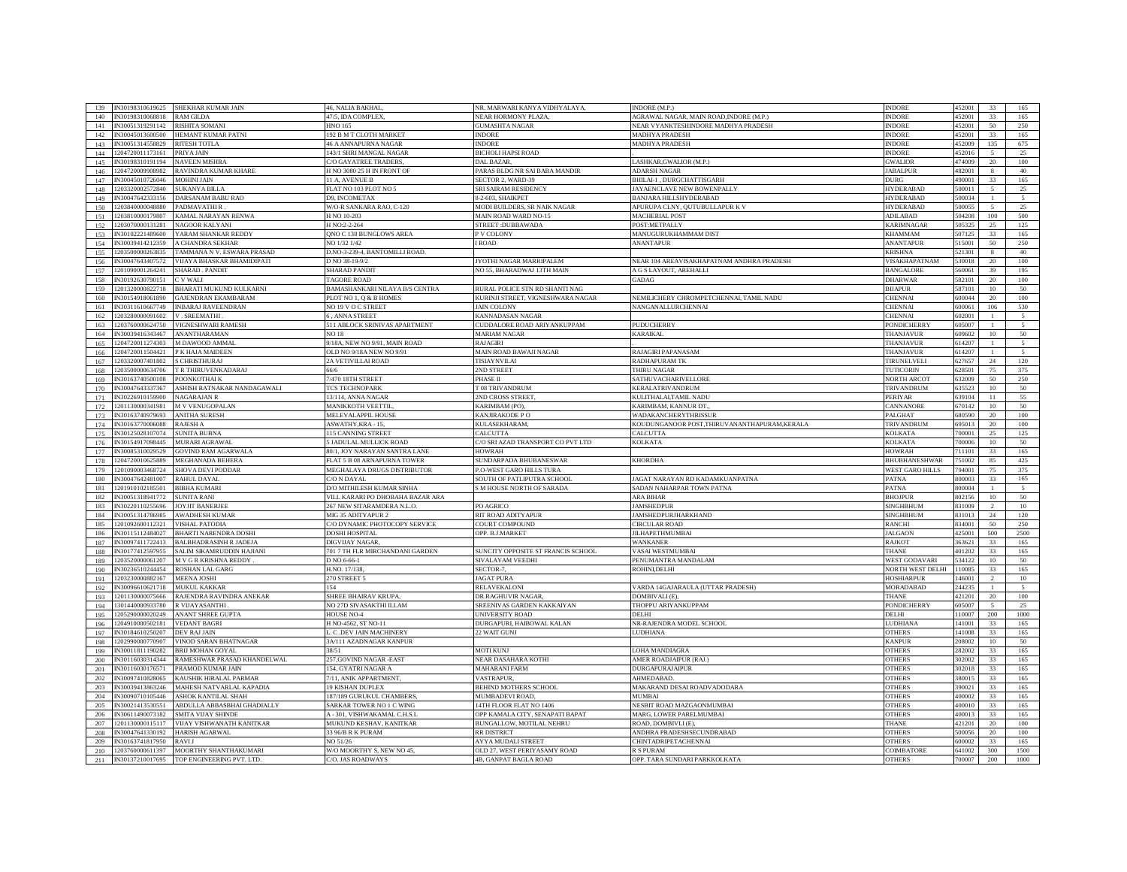| N30198310619625<br>139        | SHEKHAR KUMAR JAIN                                                  | <b>46. NALIA BAKHAI</b>                        | NR. MARWARI KANYA VIDHYALAYA                          | <b>INDORE (M.P.</b>                               | <b>INDORE</b>               | 452001          | 33               |                          |
|-------------------------------|---------------------------------------------------------------------|------------------------------------------------|-------------------------------------------------------|---------------------------------------------------|-----------------------------|-----------------|------------------|--------------------------|
| V30198310068818<br>140        | RAM GILDA                                                           | 47/5, IDA COMPLEX.                             | NEAR HORMONY PLAZA                                    | AGRAWAL NAGAR, MAIN ROAD, INDORE (M.P.)           | <b>INDORE</b>               | 52001           | 33               | 165                      |
| N30051319291142<br>141        | RISHITA SOMANI                                                      | <b>HNO 165</b>                                 | <b>GUMASHTA NAGAR</b>                                 | NEAR VYANKTESHINDORE MADHYA PRADESH               | <b>INDORE</b>               | 152001          | 50               | 250                      |
| N30045013600500<br>142        | HEMANT KUMAR PATNI                                                  | 192 B M T CLOTH MARKET                         | <b>INDORE</b>                                         | <b>MADHYA PRADESH</b>                             | <b>INDORF</b>               | 152001          | 33               | 165                      |
| V30051314558829<br>143        | RITESH TOTLA                                                        | <b>6 A ANNAPURNA NAGAR</b>                     | <b>NDORE</b>                                          | <b>MADHYA PRADESH</b>                             | <b>INDORE</b>               | 152009          | 135              | 675                      |
| 204720011173161<br>144        | PRIYA JAIN                                                          | 143/1 SHRI MANGAL NAGAR                        | <b>BICHOLI HAPSI ROAD</b>                             |                                                   | <b>INDORF</b>               | 452016          |                  | 25                       |
| V30198310191194<br>145        | <b>NAVEEN MISHRA</b>                                                | /O GAYATREE TRADERS                            | DAL BAZAR                                             | .ASHKAR, GWALIOR (M.P.)                           | <b>GWALIOR</b>              | 474009          | $20\,$           | 100                      |
| 146<br>204720009908982        | <b>AVINDRA KUMAR KHARF</b>                                          | I NO 3080 25 H IN FRONT OI                     |                                                       | <b>IDARSH NAGAR</b>                               | <b>JABALPUE</b>             | 8200            |                  |                          |
| 147<br>30045010726046         | MOHINI JAIN                                                         | 11 A, AVENUE B                                 | ARAS BLDG NR SAI BABA MANDIR<br>SECTOR 2, WARD-39     | BHILAI-1, DURGCHATTISGARH                         | DURG                        | 190001          | 33               | 40<br>165                |
| 203320002572840               |                                                                     |                                                | SRI SAIRAM RESIDENCY                                  | AYAENCLAVE NEW BOWENPALLY                         | <b>HYDERABAD</b>            | 0001            |                  |                          |
| 148<br>30047642333156         | SUKANYA BILLA                                                       | LAT NO 103 PLOT NO 5                           | -2-603. SHAIKPET                                      | BANJARA HILL SHYDERABAD                           | <b>HYDERABAD</b>            | 0003            |                  | 25                       |
| 149<br>203840000048880        | <b>DARSANAM BABU RAO</b>                                            | 9, INCOMETAX                                   |                                                       |                                                   |                             | 0005            |                  | 5                        |
| 150                           | <b>ADMAVATHIR</b>                                                   | V/O-R SANKARA RAO, C-120                       | MODI BUILDERS, SR NAIK NAGAR                          | APURUPA CLNY, QUTUBULLAPUR K V                    | <b>HYDERABAD</b>            |                 | $\sim$           | 25                       |
| 203810000179807<br>151        | <b>KAMAL NARAYAN RENWA</b>                                          | I NO 10-203                                    | <b>MAIN ROAD WARD NO-15</b>                           | <b>MACHERIAL POST</b>                             | ADILABAD                    | 604208          | 100              | 500                      |
| 203070000131281<br>152        | <b>NAGOOR KALYANI</b>                                               | I NO:2-2-264                                   | STREET : DUBBAWADA                                    | POST:METPALLY                                     | KARIMNAGAF                  | 05325           | 25               | 125                      |
| N30102221489600<br>153        | YARAM SHANKAR REDDY                                                 | QNO C 138 BUNGLOWS AREA                        | <b>V COLONY</b>                                       | MANUGURUKHAMMAM DIST                              | <b>KHAMMAM</b>              | 507125          | 33               | 165                      |
| N30039414212359<br>154        | <b>A CHANDRA SEKHAR</b>                                             | NO 1/32 1/42                                   | <b>IROAD</b>                                          | <b>ANANTAPUR</b>                                  | <b>ANANTAPUE</b>            | 515001          | 50               | 250                      |
| 155<br>203500000263835        | <b>TAMMANA N V. ESWARA PRASAD</b>                                   | D.NO-3-239-4, BANTOMILLI ROAD.                 |                                                       |                                                   | <b>KRISHNA</b>              | 521301          | -8               | 40                       |
| N30047643407572<br>156        | VIJAYA BHASKAR BHAMIDIPATI                                          | D NO 38-19-9/2                                 | JYOTHI NAGAR MARRIPALEM                               | NEAR 104 AREAVISAKHAPATNAM ANDHRA PRADESH         | VISAKHAPATNAM               | 30018           | 20               | 100                      |
| 201090001264241<br>157        | SHARAD . PANDIT                                                     | <b>SHARAD PANDIT</b>                           | NO 55, BHARADWAJ 13TH MAIN                            | A G S LAYOUT, AREHALLI                            | BANGALORE                   | 60061           | 39               | 195                      |
| 158<br>N30192630790151        | V WALI                                                              | <b>TAGORE ROAD</b>                             |                                                       | GADAG                                             | <b>DHARWAR</b>              | 82101           | 20               | 100                      |
| 159<br>201320000822718        | <b>BHARATI MUKUND KULKARNI</b>                                      | BAMASHANKARI NILAYA B/S CENTRA                 | RURAL POLICE STN RD SHANTI NAG                        |                                                   | <b>BIJAPUR</b>              | 87101           | 10 <sup>10</sup> | 50                       |
| V30154918061890<br>160        | <b>GAJENDRAN EKAMBARAM</b>                                          | PLOT NO 1, Q & B HOMES                         | KURINJI STREET, VIGNESHWARA NAGAR                     | NEMILICHERY CHROMPETCHENNAI, TAMIL NADU           | <b>CHENNA</b>               | 500044          | 20               | 100                      |
| 30311610667749<br>161         | NBARAJ RAVEENDRAN                                                   | <b>O 19 V O C STREET</b>                       | <b>JAIN COLONY</b>                                    | NANGANALLURCHENNAI                                | <b>HENNAI</b>               | 0006            | 106              | 530                      |
| 203280000091602<br>162        | V. SREEMATHI                                                        | , ANNA STREET                                  | <b>KANNADASAN NAGAR</b>                               |                                                   | CHENNAI                     | 602001          |                  | $\sim$                   |
| 203760000624750<br>163        | VIGNESHWARI RAMESH                                                  | 11 ABLOCK SRINIVAS APARTMENT                   | CUDDALORE ROAD ARIYANKUPPAM                           | <b>PUDUCHERRY</b>                                 | <b>PONDICHERRY</b>          | 05007           |                  | $\sim$                   |
| N30039416343467<br>164        | <b>ANANTHARAMAN</b>                                                 | <b>NO 18</b>                                   | <b>MARIAM NAGAR</b>                                   | KARAIKAL                                          | <b>THANJAVUE</b>            | 09602           | $10$             | 50                       |
| 1204720011274303<br>165       | M DAWOOD AMMAL                                                      | 9/18A, NEW NO 9/91, MAIN ROAD                  | <b>RAJAGIRI</b>                                       |                                                   | THANJAVUF                   | 514207          | $\mathbf{1}$     | $\sim$                   |
| 204720011504421<br>166        | K HAJA MAIDEEN                                                      | <b>DLD NO 9/18A NEW NO 9/91</b>                | MAIN ROAD BAWAJI NAGAR                                | RAJAGIRI PAPANASAM                                | THANJAVUF                   | 514207          |                  | $\overline{\phantom{a}}$ |
| 1203320007401802<br>167       | <b>GHRISTHURAJ</b>                                                  | 2A VETIVILLAI ROAD                             | TISIAYNVILAI                                          | RADHAPURAM TK                                     | TIRUNELVELI                 | 627657          | 24               | 120                      |
| 203500000634706<br>168        | <b>FR THIRUVENKADARAJ</b>                                           |                                                | 2ND STREET                                            | THIRU NAGAR                                       | TUTICORIN                   | 628501          | 75               | 375                      |
| 30163740500108<br>169         | <b>OONKOTHAI K</b>                                                  | /470 18TH STREET                               | PHASE II                                              | <b>SATHUVACHARIVELLORE</b>                        | <b>NORTH ARCO</b>           | 32009           | 50               | 250                      |
| 170<br>30047643337367         | ASHISH RATNAKAR NANDAGAWALI                                         | <b>CS TECHNOPARK</b>                           | T 08 TRIVANDRUM                                       | <b><i>CERALATRIVANDRUM</i></b>                    | TRIVANDRUM                  | 35523           | 10 <sup>2</sup>  | 50                       |
| 171<br>30226910159900         | <b>JAGARAJAN R</b>                                                  | 3/114, ANNA NAGAR                              | <b>ND CROSS STREET</b>                                | KULITHALAI,TAMIL NADU                             | PERIYAR                     | 39104           | 11               | 55                       |
| 172<br>201130000341981        | <b>M V VENUGOPALAN</b>                                              | <b>JANIKKOTH VEETTII</b>                       | <b>KARIMBAM</b> (PO).                                 | <b>CARIMBAM, KANNUR DT</b>                        | CANNANORE                   | 70142           | 10               | 50                       |
| 173<br>30163740979693         | <b>NNITHA SURESH</b>                                                | MELEVALAPPIL HOUSE                             | KANJIRAKODE P O                                       | <b><i>NADAKANCHERYTHRISSUR</i></b>                | PALGHAT                     | 80590           | 20               | 100                      |
| 174<br>30163770006088         | <b>RAJESH A</b>                                                     | ASWATHY, KRA-15,                               | KULASEKHARAM,                                         | KOUDUNGANOOR POST,THIRUVANANTHAPURAM,KERALA       | TRIVANDRUM                  | 595013          | 20               | 100                      |
| 30125028107074<br>175         | <b>SUNITA BUBNA</b>                                                 | 115 CANNING STREET                             | <b>CALCUTTA</b>                                       | CALCUTTA                                          | KOLKATA                     | 700001          | 25               | 125                      |
| 30154917098445                | MURARI AGRAWAL                                                      | <b>5 JADULAL MULLICK ROAD</b>                  | C/O SRI AZAD TRANSPORT CO PVT LTD                     | <b>KOLKATA</b>                                    | KOLKATA                     | 00006           | 10 <sup>10</sup> | 50                       |
| 176<br>930085310029529        |                                                                     |                                                | <b>HOWRAH</b>                                         |                                                   | <b>HOWRAF</b>               | 11101           |                  |                          |
| 177                           | <b>GOVIND RAM AGARWALA</b>                                          | 80/1. JOY NARAYAN SANTRA LANE                  |                                                       |                                                   |                             |                 | 33               | 165                      |
| 178<br>204720010625889        | <b>MEGHANADA BEHERA</b>                                             | FLAT 5 B 08 ARNAPURNA TOWER                    | SUNDARPADA BHUBANESWAR                                | <b>KHORDHA</b>                                    | <b>BHUBHANESHWAR</b>        | 51002           | 85               | 425                      |
| 179<br>201090003468724        | SHOVA DEVI PODDAR                                                   | MEGHALAYA DRUGS DISTRIBUTOR                    | P.O-WEST GARO HILLS TURA                              |                                                   | WEST GARO HILLS             | 94001           | 75               | 375                      |
| N30047642481007<br>180        | RAHUL DAYAL                                                         | C/O N DAYAL                                    | SOUTH OF PATLIPUTRA SCHOOL                            | JAGAT NARAYAN RD KADAMKUANPATNA                   | <b>PATNA</b>                | 300003          | 33               | 165                      |
| 201910102185501<br>181        | <b>BIBHA KUMARI</b>                                                 | D/O MITHILESH KUMAR SINHA                      | S M HOUSE NORTH OF SARADA                             | SADAN NAHARPAR TOWN PATNA                         | PATNA                       | 300004          |                  | - 5                      |
| 182<br>30051318941772         | SUNITA RANI                                                         | VILL KARARI PO DHOBAHA BAZAR ARA               |                                                       | <b>ARA BIHAR</b>                                  | BHOJPU                      | 80215           | 10               | 50                       |
| 183<br>30220110255696         | <b>OYJIT BANERIE</b>                                                | 167 NEW SITARAMDERA N.L.O.                     | PO AGRICO                                             | <b>JAMSHEDPUR</b>                                 | <b>SINGHBHUM</b>            | 31009           |                  | 10                       |
| 30051314786985<br>184         | <b>AWADHESH KUMAR</b>                                               | MIG 35 ADITYAPUR 2                             | RIT ROAD ADITYAPUR                                    | AMSHEDPURJHARKHAND                                | <b>SINGHBHUM</b>            | 3101            | 24               | 120                      |
| 201092600112321<br>185        | <b>VISHAL PATODIA</b>                                               | O DYNAMIC PHOTOCOPY SERVICE                    | COURT COMPOUND                                        | <b>CIRCULAR ROAD</b>                              | RANCHI                      | 34001           | 50               | 250                      |
| V30115112484027<br>186        | <b>BHARTI NARENDRA DOSHI</b>                                        | <b>OSHI HOSPITAI</b>                           | OPP. B.J.MARKET                                       | <b>JILHAPETHMUMBAI</b>                            | <b>ALGAON</b>               | 25001           | 500              | 2500                     |
| 130097411722413<br>187        | <b>BALBHADRASINH R JADEJA</b>                                       | <b>IGVIJAY NAGAR,</b>                          |                                                       | WANKANER                                          | RAJKOT                      | 6362            | 33               | 165                      |
| V30177412597955<br>188        | SALIM SIKAMRUDDIN HAJIANI                                           | 701 7 TH FLR MIRCHANDANI GARDEN                | SUNCITY OPPOSITE ST FRANCIS SCHOOL                    | VASAI WESTMUMBAI                                  | THANF                       | 101202          | 33               | 165                      |
| 189<br>203520000061207        | <b>M V G R KRISHNA REDDY</b>                                        | ONO 6-66-1                                     | SIVALAYAM VEEDHI                                      | PENUMANTRA MANDALAM                               | <b>WEST GODAVARI</b>        | 34122           | $10$             | 50                       |
| N30236510244454<br>190        | <b>ROSHAN LAL GARG</b>                                              | H.NO. 17/138,                                  | SECTOR-7                                              | ROHINLDELHI                                       | <b>NORTH WEST DELHI</b>     | 110085          | 33               | 165                      |
| 203230000882167<br>191        | <b>MEENA JOSHI</b>                                                  | 270 STREET 5                                   | <b>JAGAT PURA</b>                                     |                                                   | <b>HOSHIARPUR</b>           | 4600            |                  | 10                       |
| 192<br>30096610621718         | MUKUL KAKKAR                                                        |                                                | RELAVEKALON                                           | VARDA 14GAJARAULA (UTTAR PRADESH)                 | MORADABAL                   | 44235           |                  |                          |
| 193<br>201130000075666        | AJENDRA RAVINDRA ANEKAR                                             | <b>HREE BHAIRAV KRUPA</b>                      | DR.RAGHUVIR NAGAR.                                    | <b>OMBIVALL(E)</b>                                | <b>THANE</b>                | 21201           | 20               | 100                      |
| 301440000933780<br>194        | <b>NUAYASANTHI</b>                                                  | <b>O 27D SIVASAKTHI ILLAM</b>                  | SREENIVAS GARDEN KAKKAIYAN                            | THOPPU ARIYANKUPPAM                               | <b>PONDICHERRY</b>          | 05007           |                  | 25                       |
| 195<br>205290000020249        | <b>NNANT SHREE GUPTA</b>                                            | <b>OUSE NO-4</b>                               | <b>JNIVERSITY ROAD</b>                                | DEI HI                                            | DELHI                       | 10007           | 200              | 1000                     |
| 196<br>204910000502181        | <b>VEDANT BAGRI</b>                                                 | I NO-4562, ST NO-11                            | DURGAPURI, HAIBOWAL KALAN                             | NR-RAJENDRA MODEL SCHOOL                          | <b>JIDHIANA</b>             | 41001           | 33               | 165                      |
| 197<br>V30184610250207        | <b>DEV RAJ JAIN</b>                                                 | C.DEV JAIN MACHINERY                           | 22 WAIT GUNJ                                          | <b>LUDHIANA</b>                                   | <b>OTHERS</b>               | 41008           | 33               | 165                      |
| 202990000770907<br>198        | VINOD SARAN BHATNAGAR                                               | <b>3A/111 AZADNAGAR KANPUR</b>                 |                                                       |                                                   | <b>KANPUR</b>               | 08002           | 10 <sup>10</sup> | 50                       |
| 30011811190282<br>199         |                                                                     |                                                |                                                       |                                                   | <b>OTHERS</b>               | 82002           | 33               | 165                      |
| \$30116030314344<br>200       |                                                                     |                                                |                                                       |                                                   |                             |                 | 33               | 165                      |
|                               | <b>RELLMOHAN GOYAL</b>                                              | 8/51                                           | <b>MOTHKUNI</b>                                       | LOHA MANDIAGRA                                    |                             | 302002          |                  |                          |
|                               | RAMESHWAR PRASAD KHANDELWAL                                         | 257, GOVIND NAGAR - EAST                       | NEAR DASAHARA KOTHI                                   | AMER ROADJAIPUR (RAJ.)                            | <b>OTHERS</b>               |                 |                  |                          |
| 201<br>N30116030176571        | PRAMOD KUMAR JAIN                                                   | 154. GYATRI NAGAR A                            | <b>MAHARANI FARM</b>                                  | <b>DURGAPURAJAIPUR</b>                            | <b>OTHERS</b>               | 302018          | 33               | 165                      |
| 202<br>V30097410828065        | KAUSHIK HIRALAL PARMAR                                              | 7/11. ANIK APPARTMENT.                         | VASTRAPUR.                                            | <b>AHMEDABAD</b>                                  | <b>OTHERS</b>               | 80019           | 33               | 165                      |
| 203<br>N30039413863246        | MAHESH NATVARLAL KAPADIA                                            | <b>19 KISHAN DUPLEX</b>                        | BEHIND MOTHERS SCHOOL                                 | MAKARAND DESAI ROADVADODARA                       | <b>OTHERS</b>               | 390021          | 33               | 165                      |
| 30090710105446<br>204         | ASHOK KANTILAL SHAH                                                 | 187/189 GURUKUL CHAMBERS.                      | MUMBADEVI ROAD,                                       | MUMBAI                                            | <b>OTHERS</b>               | 100002          | 33               | 165                      |
| 205<br>30021413530551         | ABDULLA ABBASBHAI GHADIALLY                                         | <b>SARKAR TOWER NO 1 C WINC</b>                | 14TH FLOOR FLAT NO 1406                               | NESBIT ROAD MAZGAONMUMBAI                         | <b>OTHERS</b>               | 0001            | 33               | 165                      |
| 30611490073182<br>206         | SMITA VIJAY SHINDE                                                  | A - 301, VISHWAKAMAL C.H.S.I                   | OPP KAMALA CITY, SENAPATI BAPAT                       | MARG, LOWER PARELMUMBAI                           | <b>OTHERS</b>               | 0001            | 33               | 165                      |
| 207<br>201130000115117        | VIJAY VISHWANATH KANITKAR                                           | MUKUND KESHAV, KANITKAR                        | BUNGALLOW, MOTILAL NEHRU                              | ROAD, DOMBIVLI (E)                                | THANE                       | 2120            | 20               | 100                      |
| 30047641330192<br>208         | HARISH AGARWAL                                                      | 33 96/B R K PURAM                              | <b>RR DISTRICT</b>                                    | ANDHRA PRADESHSECUNDRABAD                         | <b>OTHERS</b>               | 00056           | 20               | 100                      |
| N30163741817950<br>209        | <b>RAVIJ</b>                                                        | NO 51/26                                       | <b>AYYA MUDALI STREET</b>                             | <b>CHINTADRIPETACHENNAI</b>                       | <b>OTHERS</b>               | 00002           | 33               | 165                      |
| 203760000611397<br>210<br>211 | MOORTHY SHANTHAKUMARI<br>IN30137210017695 TOP ENGINEERING PVT. LTD. | W/O MOORTHY S, NEW NO 45,<br>C/O. JAS ROADWAYS | OLD 27, WEST PERIYASAMY ROAD<br>4B, GANPAT BAGLA ROAD | <b>R S PURAM</b><br>OPP. TARA SUNDARI PARKKOLKATA | COIMBATORE<br><b>OTHERS</b> | 41002<br>200007 | 300<br>200       | 1500<br>1000             |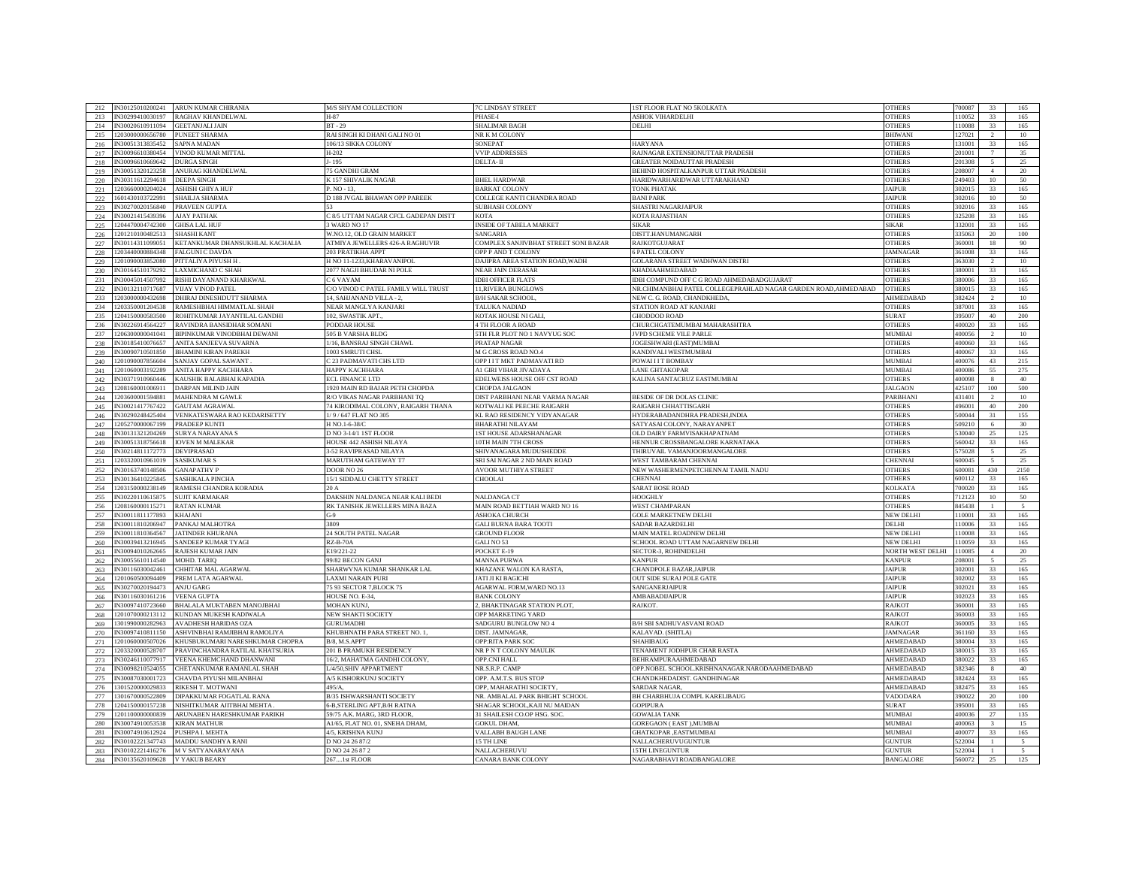| IN30125010200241<br>212 | ARUN KUMAR CHIRANIA               | M/S SHYAM COLLECTION                          | <b>7C LINDSAY STREET</b>             | <b>1ST FLOOR FLAT NO 5KOLKATA</b>                               | <b>OTHERS</b>    | 700087 | 33              | 165                      |
|-------------------------|-----------------------------------|-----------------------------------------------|--------------------------------------|-----------------------------------------------------------------|------------------|--------|-----------------|--------------------------|
| IN30299410030197        | <b>RAGHAV KHANDELWAL</b>          | H-87                                          | PHASE-I                              | ASHOK VIHARDELHI                                                | <b>OTHERS</b>    | 110052 | 33              | 165                      |
| 213                     |                                   |                                               |                                      |                                                                 |                  |        |                 |                          |
| 214<br>V30020610911094  | <b>GEETANJALI JAIN</b>            | <b>BT-29</b>                                  | SHALIMAR BAGH                        | DELHI                                                           | <b>OTHERS</b>    | 110088 | 33              | 165                      |
| 203000000656780<br>215  | <b>PUNEET SHARMA</b>              | RAI SINGH KI DHANI GALI NO 01                 | NR K M COLONY                        |                                                                 | <b>BHIWANI</b>   | 127021 |                 | 10                       |
| V30051313835452<br>2.16 | <b>SAPNA MADAN</b>                | 06/13 SIKKA COLONY                            | SONEPAT                              | <b>HARYANA</b>                                                  | <b>OTHERS</b>    | 131001 | 33              | 165                      |
| 217<br>30096610380454   | VINOD KUMAR MITTAL                | $-202$                                        | <b>VVIP ADDRESSES</b>                | RAJNAGAR EXTENSIONUTTAR PRADESH                                 | <b>DTHERS</b>    | 201001 |                 | 35                       |
| 30096610669642<br>218   | <b>URGA SINGH</b>                 | 195                                           | DELTA- II                            | <b>GREATER NOIDAUTTAR PRADESH</b>                               | <b>THERS</b>     | 01308  |                 | 25                       |
| 219<br>V30051320123258  | ANURAG KHANDELWAL                 | <b>GANDHI GRAM</b>                            |                                      | BEHIND HOSPITALKANPUR UTTAR PRADESH                             | <b>THERS</b>     | 08007  | $\overline{4}$  | 20                       |
| 220<br>930311612294618  | DEEPA SINGH                       | C 157 SHIVALIK NAGAR                          | <b>BHEL HARDWAR</b>                  | HARIDWARHARIDWAR UTTARAKHAND                                    | <b>THERS</b>     | 249403 | 10 <sup>°</sup> | 50                       |
| 221<br>203660000204024  | <b>ASHISH GHIYA HUF</b>           | $NO - 13$                                     | <b>BARKAT COLONY</b>                 | <b>TONK PHATAK</b>                                              | <b>AIPUR</b>     | 302015 | 33              | 165                      |
| 222<br>601430103722991  | SHAILJA SHARMA                    | 188 JVGAL BHAWAN OPP PAREEK                   | COLLEGE KANTI CHANDRA ROAD           | <b>BANI PARK</b>                                                | <b>AIPUR</b>     | 302016 | 10              | 50                       |
| N30270020156840<br>223  | PRAVEEN GUPTA                     |                                               | <b>SUBHASH COLONY</b>                | SHASTRI NAGARJAIPUR                                             | <b>OTHERS</b>    | 302016 | 33              | 165                      |
| 224<br>N30021415439396  | <b>NAY PATHAK</b>                 | 28/5 UTTAM NAGAR CFCL GADEPAN DISTT           | KOTA                                 | <b>KOTA RAJASTHAN</b>                                           | <b>OTHERS</b>    | 325208 | 33              | 165                      |
| 204470004742300         |                                   | 3 WARD NO 17                                  |                                      |                                                                 |                  |        |                 |                          |
| 225                     | <b>GHISA LAL HUF</b>              |                                               | <b>INSIDE OF TABELA MARKET</b>       | <b>SIKAR</b>                                                    | <b>SIKAR</b>     | 332001 | 33              | 165                      |
| 226<br>1201210100482513 | <b>SHASHI KANT</b>                | W.NO.12, OLD GRAIN MARKET                     | <b>SANGARIA</b>                      | DISTT.HANUMANGARH                                               | <b>OTHERS</b>    | 335063 | 20              | 100                      |
| 227<br>N30114311099051  | KETANKUMAR DHANSUKHLAL KACHALIA   | ATMIYA JEWELLERS 426-A RAGHUVIR               | COMPLEX SANJIVBHAT STREET SONI BAZAR | <b>RAJKOTGUJARAT</b>                                            | <b>OTHERS</b>    | 360001 | 18              | 90                       |
| 228<br>203440000884348  | FALGUNI C DAVDA                   | 203 PRATIKHA APPT                             | OPP P AND T COLONY                   | <b>6 PATEL COLONY</b>                                           | <b>JAMNAGAR</b>  | 361008 | 33              | 165                      |
| 229<br>201090003852080  | PITTALIYA PIYUSH H                | H NO 11-1233, KHARAVANIPOL                    | DAJIPRA AREA STATION ROAD, WADH      | <b>GOLARANA STREET WADHWAN DISTRI</b>                           | <b>OTHERS</b>    | 6303   | $\overline{2}$  | 10                       |
| 230<br>30164510179292   | AXMICHAND C SHAH                  | 2077 NAGJI BHUDAR NI POLE                     | <b>NEAR JAIN DERASAE</b>             | <b>KHADIAAHMEDABAD</b>                                          | <b>OTHERS</b>    | 38000  | 33              | 165                      |
| 231<br>30045014507992   | RISHI DAYANAND KHARKWAL           | 6 VAYAM                                       | <b>IDBI OFFICER FLATS</b>            | IDBI COMPUND OFF C G ROAD AHMEDABADGUJARAT                      | <b>THERS</b>     | 8000   | 33              | 165                      |
| 232<br>V30132110717687  | <b>VIJAY VINOD PATEL</b>          | O VINOD C PATEL FAMILY WILL TRUST             | 11, RIVERA BUNGLOWS                  | NR.CHIMANBHAI PATEL COLLEGEPRAHLAD NAGAR GARDEN ROAD, AHMEDABAD | <b>OTHERS</b>    | 8001'  | 33              | 165                      |
| 203000000432698<br>233  | DHIRAJ DINESHDUTT SHARMA          | 4. SAHJANAND VILLA - 2                        | <b>B/H SAKAR SCHOOL</b>              | NEW C. G. ROAD, CHANDKHEDA                                      | AHMEDABAD        | 382424 | $\overline{2}$  | 10                       |
| 203350001204538<br>234  | RAMESHBHAI HIMMATLAL SHAH         | NEAR MANGLYA KANJARI                          | TALUKA NADIAD                        | STATION ROAD AT KANJARI                                         | <b>OTHERS</b>    | 387001 | 33              | 165                      |
| 204150000583500<br>235  | ROHITKUMAR JAYANTILAL GANDHI      | 02, SWASTIK APT.                              | KOTAK HOUSE NI GALI                  | <b>GHODDOD ROAD</b>                                             | <b>SURAT</b>     | 395007 | 40              | 200                      |
|                         | RAVINDRA BANSIDHAR SOMANI         | PODDAR HOUSE                                  |                                      | CHURCHGATEMUMBAI MAHARASHTRA                                    | <b>OTHERS</b>    | 400020 | 33              | 165                      |
| N30226914564227<br>236  |                                   |                                               | 4 TH FLOOR A ROAD                    |                                                                 |                  |        | $\overline{2}$  |                          |
| 237<br>1206300000041041 | BIPINKUMAR VINODBHAI DEWANI       | 505 B VARSHA BLDG                             | 5TH FLR PLOT NO 1 NAVYUG SOC         | JVPD SCHEME VILE PARLE                                          | MUMBAI           | 400056 |                 | 10                       |
| 238<br>V30185410076657  | ANITA SANJEEVA SUVARNA            | 1/16, BANSRAJ SINGH CHAWL                     | PRATAP NAGAR                         | JOGESHWARI (EAST)MUMBAI                                         | <b>OTHERS</b>    | 100060 | 33              | 165                      |
| 239<br>N30090710501850  | <b>BHAMINI KIRAN PAREKH</b>       | 1003 SMRUTI CHSL                              | <b>M G CROSS ROAD NO.4</b>           | KANDIVALI WESTMUMBAI                                            | <b>OTHERS</b>    | 400067 | 33              | 165                      |
| 201090007856604<br>240  | <b>SANJAY GOPAL SAWANT</b>        | 23 PADMAVATI CHS LTD                          | OPP I I T MKT PADMAVATI RD           | POWAI I I T BOMBAY                                              | <b>MUMBAI</b>    | 400076 | 43              | 215                      |
| 201060003192289<br>241  | <b>ANITA HAPPY KACHHARA</b>       | <b>JAPPY KACHHARA</b>                         | AI GIRI VIHAR JIVADAYA               | ANE GHTAKOPAR                                                   | <b>MUMBAI</b>    | 100086 | 55              | 275                      |
| 30371910960446<br>242   | <b>AUSHIK BALABHAI KAPADIA</b>    | CL FINANCE LTD                                | EDELWEISS HOUSE OFF CST ROAD         | KALINA SANTACRUZ EASTMUMBAI                                     | <b>OTHERS</b>    | 100098 |                 | 40                       |
| 243<br>208160001006911  | DARPAN MILIND JAIN                | 920 MAIN RD BAJAR PETH CHOPDA                 | CHOPDA JALGAON                       |                                                                 | <b>ALGAON</b>    | 125107 | 100             | 500                      |
| 244<br>203600001594881  | MAHENDRA M GAWLE                  | <b>R/O VIKAS NAGAR PARBHANI TQ</b>            | DIST PARBHANI NEAR VARMA NAGAR       | BESIDE OF DR DOLAS CLINIC                                       | <b>ARBHANI</b>   | 131401 | 2               | 10                       |
| 245<br>30021417767422   | <b>GAUTAM AGRAWAL</b>             | <sup>74</sup> KIRODIMAL COLONY, RAIGARH THANA | KOTWALI KE PEECHE RAIGARH            | RAIGARH CHHATTISGARH                                            | <b>OTHERS</b>    | 196001 | 40              | 200                      |
| 246<br>30290248425404   | VENKATESWARA RAO KEDARISETTY      | /9/647 FLAT NO 305                            | KL RAO RESIDENCY VIDYANAGAR          | HYDERABADANDHRA PRADESH,INDIA                                   | <b>OTHERS</b>    | 500044 | 31              | 155                      |
| 205270000067199<br>247  | PRADEEP KUNTI                     | <b>TNO 1-6-38/C</b>                           | <b>BHARATHI NILAYAM</b>              | SATYASAI COLONY, NARAYANPET                                     | <b>OTHERS</b>    | 509210 | -6              | 30                       |
| 248<br>930131321204269  | <b>SURYA NARAYANA</b> S           | D NO 3-14/1 IST FLOOR                         | IST HOUSE ADARSHANAGAR               | OLD DAIRY FARMVISAKHAPATNAM                                     | <b>OTHERS</b>    | 530040 | $25 -$          | 125                      |
| N30051318756618         |                                   |                                               |                                      |                                                                 | <b>OTHERS</b>    | 560042 | 33              |                          |
| 249                     | <b>IOVEN M MALEKAR</b>            | HOUSE 442 ASHISH NILAYA                       | 10TH MAIN 7TH CROSS                  | HENNUR CROSSBANGALORE KARNATAKA                                 |                  |        |                 | 165                      |
| 250<br>V30214811172773  | <b>DEVIPRASAD</b>                 | 3-52 RAVIPRASAD NILAYA                        | SHIVANAGARA MUDUSHEDDE               | THIRUVAIL VAMANJOORMANGALORE                                    | <b>OTHERS</b>    | 575028 | $5 -$           | 25                       |
| 251<br>203320010961019  | <b>SASIKUMAR S</b>                | MARUTHAM GATEWAY T7                           | SRI SAI NAGAR 2 ND MAIN ROAD         | WEST TAMBARAM CHENNAI                                           | <b>CHENNA</b>    | 600045 | $\sim$          | 25                       |
| 252<br>V30163740148506  | <b>GANAPATHY P</b>                | DOOR NO 26                                    | AVOOR MUTHIYA STREET                 | NEW WASHERMENPETCHENNAI TAMIL NADU                              | <b>OTHERS</b>    | 600081 | 430             | 2150                     |
| V30136410225845<br>253  | SASHIKALA PINCHA                  | 15/1 SIDDALU CHETTY STREET                    | CHOOLAI                              | <b>CHENNAI</b>                                                  | <b>OTHERS</b>    | 600112 | 33              | 165                      |
| 254<br>203150000238149  | <b>RAMESH CHANDRA KORADIA</b>     |                                               |                                      | <b>SARAT BOSE ROAD</b>                                          | KOLKAT           | 70002  | 33              | 165                      |
| 255<br>30220110615875   | <b>SUJIT KARMAKAR</b>             | DAKSHIN NALDANGA NEAR KALI BEDI               | NALDANGA CT                          | <b>HOOGHLY</b>                                                  | <b>OTHERS</b>    | 712123 | 10              | 50                       |
| 256<br>208160000115271  | RATAN KUMAR                       | RK TANISHK JEWELLERS MINA BAZA                | MAIN ROAD BETTIAH WARD NO 16         | <b>WEST CHAMPARAN</b>                                           | <b>OTHERS</b>    | R4543  |                 | $\overline{\phantom{a}}$ |
| 257<br>V30011811177893  | <b>KHAJANI</b>                    | G.9                                           | <b>ASHOKA CHURCH</b>                 | <b>GOLE MARKETNEW DELHI</b>                                     | <b>NEW DELHI</b> | 10001  | 33              | 165                      |
| V30011810206947<br>258  | PANKAI MALHOTRA                   | 3809                                          | <b>GALI BURNA BARA TOOTI</b>         | SADAR BAZARDELHI                                                | DELHI            | 10006  | 33              | 165                      |
| 30011810364567<br>259   | <b>ATINDER KHURANA</b>            | 24 SOUTH PATEL NAGAR                          | <b>GROUND FLOOR</b>                  | MAIN MATEL ROADNEW DELHI                                        | <b>VEW DELHI</b> | 10008  | 33              | 165                      |
| N30039413216945<br>260  | SANDEEP KUMAR TYAGI               | $RZ-B-70A$                                    | GALI NO 53                           | SCHOOL ROAD UTTAM NAGARNEW DELHI                                | NEW DELHI        | 110059 | 33              | 165                      |
| 261<br>N30094010262665  | RAJESH KUMAR JAIN                 | E19/221-22                                    | POCKET E-19                          | SECTOR-3, ROHINIDELHI                                           | NORTH WEST DELHI | 110085 | $\Lambda$       | 20                       |
| 262<br>30055610114540   | MOHD. TARIQ                       | 99/82 BECON GANJ                              | <b>MANNA PURWA</b>                   | <b>KANPUR</b>                                                   | KANPUF           | 08001  |                 | 25                       |
|                         |                                   |                                               |                                      |                                                                 |                  |        | 33              | 165                      |
| 263<br>N30116030042461  | CHHITAR MAL AGARWAL               | SHARWVNA KUMAR SHANKAR LAL                    | KHAZANE WALON KA RASTA               | CHANDPOLE BAZAR JAIPUR                                          | <b>JAIPUR</b>    | 302001 |                 |                          |
| 201060500094409<br>264  | <b>REM LATA AGARWAL</b>           | <b>AXMI NARAIN PURI</b>                       | <b>JATI JI KI BAGICHI</b>            | OUT SIDE SURAJ POLE GATE                                        | <b>AIPUR</b>     | 302002 | 33              | 165                      |
| 265<br>30270020194473   | NIU GARG                          | <b>5 93 SECTOR 7 BLOCK 75</b>                 | <b>AGARWAL FORM, WARD NO.13</b>      | SANGANERJAIPUR                                                  | <b>AIPUR</b>     | 02021  | 33              | 165                      |
| 266<br>30116030161216   | <b>VEENA GUPTA</b>                | <b>IOUSE NO. E-34.</b>                        | <b>BANK COLONY</b>                   | MBABADIJAIPUR                                                   | <b>AIPUR</b>     | 02023  | 33              | 165                      |
| 30097410723660<br>267   | <b>BHALALA MUKTABEN MANOJBHAI</b> | <b>MOHAN KUNJ,</b>                            | , BHAKTINAGAR STATION PLOT           | <b>RAJKOT.</b>                                                  | <b>AJKOT</b>     | 360001 | 33              | 165                      |
| 268<br>201070000213112  | KUNDAN MUKESH KADIWALA            | <b>NEW SHAKTI SOCIETY</b>                     | <b>OPP MARKETING YARD</b>            |                                                                 | RAJKOT           | 360003 | 33              | 165                      |
| 269<br>301990000282963  | <b>AVADHESH HARIDAS OZA</b>       | <b>HIRUMADHI</b>                              | SADGURU BUNGLOW NO 4                 | B/H SBI SADHUVASVANI ROAD                                       | RAIKOT           | 360005 | 33              | 165                      |
| V30097410811150<br>270  | ASHVINBHAI RAMJIBHAI RAMOLIYA     | KHUBHNATH PARA STREET NO. 1,                  | DIST. JAMNAGAR.                      | KALAVAD. (SHITLA)                                               | <b>JAMNAGAR</b>  | 361160 | 33              | 165                      |
| 271<br>201060000507026  | KHUSBUKUMARI NARESHKUMAR CHOPRA   | 3/8, M.S.APPT                                 | <b>OPP:RITA PARK SOC</b>             | <b>SHAHIBAUG</b>                                                | AHMEDABAD        | 380004 | 33              | 165                      |
| 272<br>203320000528707  | PRAVINCHANDRA RATILAL KHATSURIA   | 201 B PRAMUKH RESIDENCY                       | NR P N T COLONY MAULIK               | TENAMENT JODHPUR CHAR RASTA                                     | AHMEDABAD        | 380015 | 33              | 165                      |
| 273<br>N30246110077917  | VEENA KHEMCHAND DHANWANI          | 16/2, MAHATMA GANDHI COLONY,                  | OPP.CNI HALL                         | <b>BEHRAMPURAAHMEDABAD</b>                                      | AHMEDABAD        | 380022 | 33              | 165                      |
| 274<br>N30098210524055  | CHETANKUMAR RAMANLAL SHAH         | L/4/50.SHIV APPARTMENT                        | NR.S.R.P. CAMF                       | OPP.NOBEL SCHOOL.KRISHNANAGAR.NARODAAHMEDABAD                   | AHMEDABAD        | 382346 | 8               | 40                       |
| 275<br>N30087030001723  | CHAVDA PIYUSH MILANBHAI           | A/5 KISHORKUNJ SOCIETY                        | OPP. A.M.T.S. BUS STOP               | CHANDKHEDADIST. GANDHINAGAR                                     | AHMEDABAD        | 382424 | 33              | 165                      |
| 301520000029833<br>276  | RIKESH T. MOTWANI                 | 495/A.                                        | OPP, MAHARATHI SOCIETY.              | SARDAR NAGAR,                                                   | AHMEDABAD        | 382475 | 33              | 165                      |
|                         |                                   |                                               |                                      |                                                                 |                  |        |                 |                          |
| 277<br>301670000522809  | DIPAKKUMAR FOGATLAL RANA          | 3/35 ISHWARSHANTI SOCIETY                     | NR. AMBALAL PARK BHIGHT SCHOOL       | BH CHARBHUJA COMPL KARELIBAUG                                   | VADODARA         | 390022 | 20              | 100                      |
| 278<br>204150000157238  | NISHITKUMAR AJITBHAI MEHTA        | 6-B, STERLING APT, B/H RATNA                  | SHAGAR SCHOOL, KAJI NU MAIDAN        | <b>GOPIPURA</b>                                                 | <b>SURA</b>      | 9500   | 33              | 165                      |
| 279<br>201100000000839  | ARUNABEN HARESHKUMAR PARIKH       | 59/75 A.K. MARG, 3RD FLOOR                    | 31 SHAILESH CO.OP HSG. SOC           | <b>GOWALIA TANK</b>                                             | <b>MUMBA</b>     | 400036 | 27              | 135                      |
| 280<br>30074910053538   | KIRAN MATHUR                      | A1/65, FLAT NO. 01, SNEHA DHAM.               | <b>GOKUL DHAM</b>                    | <b>GOREGAON (EAST), MUMBAI</b>                                  | MUMBAI           | 400063 |                 | 15                       |
| V30074910612924<br>281  | PUSHPA I. MEHTA                   | 4/5. KRISHNA KUNJ                             | <b>VALLABH BAUGH LANE</b>            | GHATKOPAR .EASTMUMBAI                                           | MUMBAI           | 400077 | 33              | 165                      |
| V30102221347743<br>282  | MADDU SANDHYA RANI                | D NO 24 26 87/2                               | 15 TH LINE                           | NALLACHERUVUGUNTUR                                              | <b>JUNTUR</b>    | 522004 |                 | $\leq$                   |
| N30102221416276<br>283  | <b>M V SATYANARAYANA</b>          | NO 24 26 87 2                                 | NALLACHERUVU                         | 15TH LINEGUNTUR                                                 | <b>JUNTUR</b>    | 22004  |                 | $\sim$                   |
| 284                     | IN30135620109628 V YAKUB BEARY    | 2671st FLOOR                                  | CANARA BANK COLONY                   | NAGARABHAVI ROADBANGALORE                                       | <b>BANGALORE</b> | 560072 | $25 -$          | 125                      |